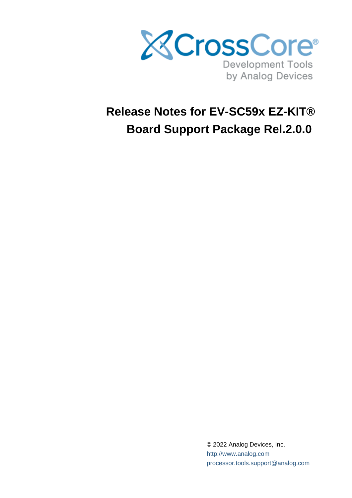

# **Release Notes for EV-SC59x EZ-KIT® Board Support Package Rel.2.0.0**

© 2022 Analog Devices, Inc. [http://www.analog.com](http://analog.com) processor.tools.support@analog.com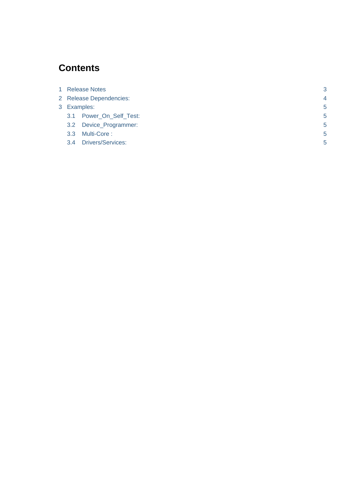# **Contents**

| 1 Release Notes  |                          | 3              |  |
|------------------|--------------------------|----------------|--|
|                  | 2 Release Dependencies:  | $\overline{4}$ |  |
| 3 Examples:      |                          | 5              |  |
| 3.1              | Power_On_Self_Test:      | 5              |  |
| 3.2              | Device_Programmer:       | 5              |  |
| 3.3 <sub>2</sub> | Multi-Core:              | 5              |  |
| 3.4              | <b>Drivers/Services:</b> | 5              |  |
|                  |                          |                |  |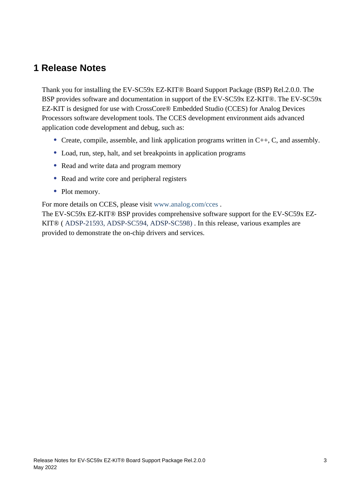## <span id="page-2-0"></span>**1 Release Notes**

Thank you for installing the EV-SC59x EZ-KIT® Board Support Package (BSP) Rel.2.0.0. The BSP provides software and documentation in support of the EV-SC59x EZ-KIT®. The EV-SC59x EZ-KIT is designed for use with CrossCore® Embedded Studio (CCES) for Analog Devices Processors software development tools. The CCES development environment aids advanced application code development and debug, such as:

- Create, compile, assemble, and link application programs written in  $C_{++}$ , C, and assembly.
- Load, run, step, halt, and set breakpoints in application programs
- Read and write data and program memory
- Read and write core and peripheral registers
- Plot memory.

For more details on CCES, please visit [www.analog.com/cces](http://www.analog.com/cces) .

The EV-SC59x EZ-KIT® BSP provides comprehensive software support for the EV-SC59x EZ-KIT® ( ADSP-21593, ADSP-SC594, ADSP-SC598) . In this release, various examples are provided to demonstrate the on-chip drivers and services.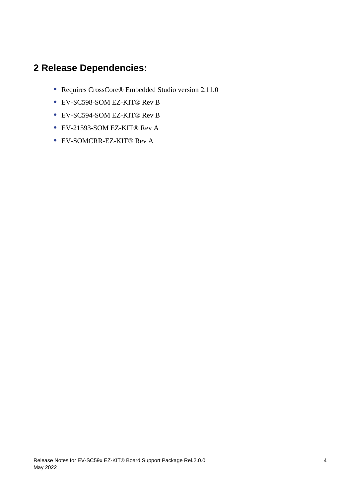# <span id="page-3-0"></span>**2 Release Dependencies:**

- Requires CrossCore® Embedded Studio version 2.11.0
- EV-SC598-SOM EZ-KIT® Rev B
- EV-SC594-SOM EZ-KIT® Rev B
- EV-21593-SOM EZ-KIT® Rev A
- EV-SOMCRR-EZ-KIT® Rev A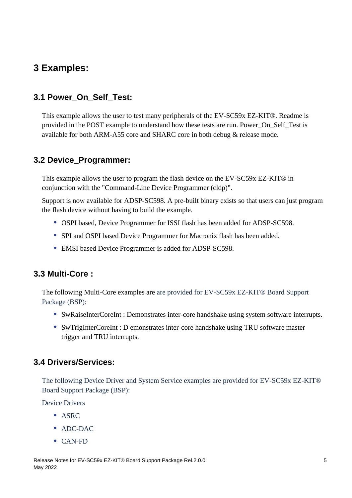# <span id="page-4-0"></span>**3 Examples:**

## <span id="page-4-1"></span>**3.1 Power\_On\_Self\_Test:**

This example allows the user to test many peripherals of the EV-SC59x EZ-KIT®. Readme is provided in the POST example to understand how these tests are run. Power\_On\_Self\_Test is available for both ARM-A55 core and SHARC core in both debug & release mode.

### <span id="page-4-2"></span>**3.2 Device\_Programmer:**

This example allows the user to program the flash device on the EV-SC59x EZ-KIT® in conjunction with the "Command-Line Device Programmer (cldp)".

Support is now available for ADSP-SC598. A pre-built binary exists so that users can just program the flash device without having to build the example.

- OSPI based, Device Programmer for ISSI flash has been added for ADSP-SC598.
- SPI and OSPI based Device Programmer for Macronix flash has been added.
- EMSI based Device Programmer is added for ADSP-SC598.

## <span id="page-4-3"></span>**3.3 Multi-Core :**

The following Multi-Core examples are are provided for EV-SC59x EZ-KIT® Board Support Package (BSP):

- SwRaiseInterCoreInt : Demonstrates inter-core handshake using system software interrupts.
- SwTrigInterCoreInt : D emonstrates inter-core handshake using TRU software master trigger and TRU interrupts.

## <span id="page-4-4"></span>**3.4 Drivers/Services:**

The following Device Driver and System Service examples are provided for EV-SC59x EZ-KIT® Board Support Package (BSP):

Device Drivers

- ASRC
- ADC-DAC
- CAN-FD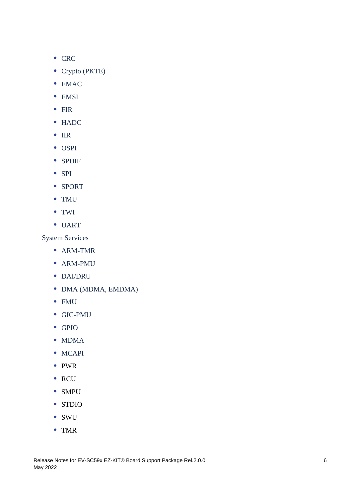- CRC
- Crypto (PKTE)
- EMAC
- EMSI
- FIR
- HADC
- $\bullet$  IIR
- OSPI
- SPDIF
- $\bullet$  SPI
- SPORT
- TMU
- TWI
- UART

System Services

- ARM-TMR
- ARM-PMU
- DAI/DRU
- DMA (MDMA, EMDMA)
- FMU
- GIC-PMU
- GPIO
- MDMA
- MCAPI
- PWR
- RCU
- SMPU
- STDIO
- SWU
- TMR